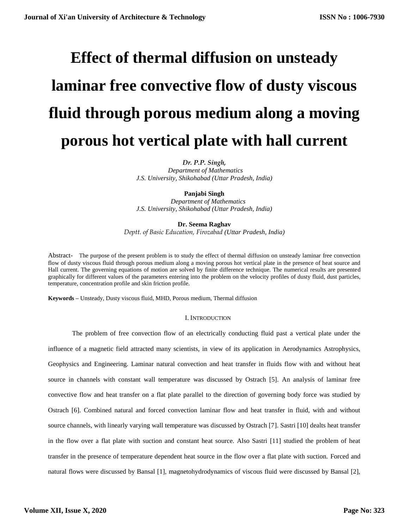# **Effect of thermal diffusion on unsteady laminar free convective flow of dusty viscous fluid through porous medium along a moving porous hot vertical plate with hall current**

*Dr. P.P. Singh, Department of Mathematics J.S. University, Shikohabad (Uttar Pradesh, India)*

**Panjabi Singh**

 *Department of Mathematics J.S. University, Shikohabad (Uttar Pradesh, India)*

**Dr. Seema Raghav**

*Deptt. of Basic Education, Firozabad (Uttar Pradesh, India)*

Abstract- The purpose of the present problem is to study the effect of thermal diffusion on unsteady laminar free convection flow of dusty viscous fluid through porous medium along a moving porous hot vertical plate in the presence of heat source and Hall current. The governing equations of motion are solved by finite difference technique. The numerical results are presented graphically for different values of the parameters entering into the problem on the velocity profiles of dusty fluid, dust particles, temperature, concentration profile and skin friction profile.

**Keywords –** Unsteady, Dusty viscous fluid, MHD, Porous medium, Thermal diffusion

## I. INTRODUCTION

The problem of free convection flow of an electrically conducting fluid past a vertical plate under the influence of a magnetic field attracted many scientists, in view of its application in Aerodynamics Astrophysics, Geophysics and Engineering. Laminar natural convection and heat transfer in fluids flow with and without heat source in channels with constant wall temperature was discussed by Ostrach [5]. An analysis of laminar free convective flow and heat transfer on a flat plate parallel to the direction of governing body force was studied by Ostrach [6]. Combined natural and forced convection laminar flow and heat transfer in fluid, with and without source channels, with linearly varying wall temperature was discussed by Ostrach [7]. Sastri [10] dealts heat transfer in the flow over a flat plate with suction and constant heat source. Also Sastri [11] studied the problem of heat transfer in the presence of temperature dependent heat source in the flow over a flat plate with suction. Forced and natural flows were discussed by Bansal [1], magnetohydrodynamics of viscous fluid were discussed by Bansal [2],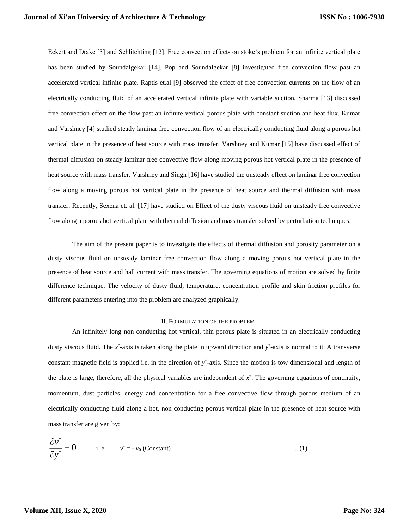Eckert and Drake [3] and Schlitchting [12]. Free convection effects on stoke's problem for an infinite vertical plate has been studied by Soundalgekar [14]. Pop and Soundalgekar [8] investigated free convection flow past an accelerated vertical infinite plate. Raptis et.al [9] observed the effect of free convection currents on the flow of an electrically conducting fluid of an accelerated vertical infinite plate with variable suction. Sharma [13] discussed free convection effect on the flow past an infinite vertical porous plate with constant suction and heat flux. Kumar and Varshney [4] studied steady laminar free convection flow of an electrically conducting fluid along a porous hot vertical plate in the presence of heat source with mass transfer. Varshney and Kumar [15] have discussed effect of thermal diffusion on steady laminar free convective flow along moving porous hot vertical plate in the presence of heat source with mass transfer. Varshney and Singh [16] have studied the unsteady effect on laminar free convection flow along a moving porous hot vertical plate in the presence of heat source and thermal diffusion with mass transfer. Recently, Sexena et. al. [17] have studied on Effect of the dusty viscous fluid on unsteady free convective flow along a porous hot vertical plate with thermal diffusion and mass transfer solved by perturbation techniques.

The aim of the present paper is to investigate the effects of thermal diffusion and porosity parameter on a dusty viscous fluid on unsteady laminar free convection flow along a moving porous hot vertical plate in the presence of heat source and hall current with mass transfer. The governing equations of motion are solved by finite difference technique. The velocity of dusty fluid, temperature, concentration profile and skin friction profiles for different parameters entering into the problem are analyzed graphically.

## II. FORMULATION OF THE PROBLEM

An infinitely long non conducting hot vertical, thin porous plate is situated in an electrically conducting dusty viscous fluid. The x<sup>\*</sup>-axis is taken along the plate in upward direction and y<sup>\*</sup>-axis is normal to it. A transverse constant magnetic field is applied i.e. in the direction of  $y^*$ -axis. Since the motion is tow dimensional and length of the plate is large, therefore, all the physical variables are independent of  $x^*$ . The governing equations of continuity, momentum, dust particles, energy and concentration for a free convective flow through porous medium of an electrically conducting fluid along a hot, non conducting porous vertical plate in the presence of heat source with mass transfer are given by:

$$
\frac{\partial v^*}{\partial y^*} = 0 \qquad \text{i. e.} \qquad v^* = -v_0 \text{ (Constant)} \qquad \qquad \dots (1)
$$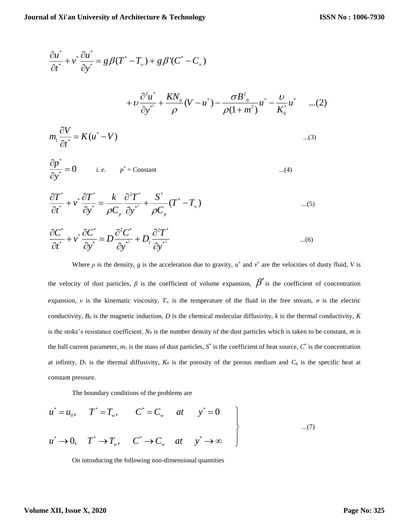$$
\frac{\partial u^*}{\partial t^*} + v^* \frac{\partial u^*}{\partial y^*} = g\beta(T^* - T_x) + g\beta'(C^* - C_x)
$$
\n
$$
+ v \frac{\partial^2 u^*}{\partial y^{*2}} + \frac{KN_0}{\rho}(V - u^*) - \frac{\sigma B_{0}^2}{\rho(1 + m^2)}u^* - \frac{v}{K_0^*}u^* \quad ...(2)
$$
\n
$$
m_1 \frac{\partial V}{\partial t^*} = K(u^* - V)
$$
\n
$$
\frac{\partial p^*}{\partial y^*} = 0 \qquad i.e. \qquad p^* = \text{Constant} \qquad ...(4)
$$
\n
$$
\frac{\partial T^*}{\partial t^*} + v^* \frac{\partial T^*}{\partial y^*} = \frac{k}{\rho C_p} \frac{\partial^2 T^*}{\partial y^{*^2}} + \frac{S^*}{\rho C_p}(T^* - T_x)
$$
\n
$$
\frac{\partial C^*}{\partial t^*} + v^* \frac{\partial C^*}{\partial y^*} = D \frac{\partial^2 C^*}{\partial y^{*^2}} + D_1 \frac{\partial^2 T^*}{\partial y^{*^2}}
$$
\n...(6)

Where  $\rho$  is the density,  $g$  is the acceleration due to gravity,  $u^*$  and  $v^*$  are the velocities of dusty fluid, *V* is the velocity of dust particles,  $\beta$  is the coefficient of volume expansion,  $\beta'$  is the coefficient of concentration expansion, *v* is the kinematic viscosity,  $T_{\infty}$  is the temperature of the fluid in the free stream,  $\sigma$  is the electric conductivity,  $B_0$  is the magnetic induction,  $D$  is the chemical molecular diffusivity,  $k$  is the thermal conductivity,  $K$ is the stoke's resistance coefficient,  $N_0$  is the number density of the dust particles which is taken to be constant,  $m$  is the hall current parameter,  $m_1$  is the mass of dust particles,  $S^*$  is the coefficient of heat source,  $C^*$  is the concentration at infinity,  $D_1$  is the thermal diffusivity,  $K_0$  is the porosity of the porous medium and  $C_p$  is the specific heat at constant pressure.

The boundary conditions of the problems are

$$
u^* = u_0, \qquad T^* = T_w, \qquad C^* = C_w \qquad at \qquad y^* = 0
$$
  

$$
u^* \to 0, \qquad T^* \to T_w, \qquad C^* \to C_w \qquad at \qquad y^* \to \infty
$$
...(7)

On introducing the following non-dimensional quantities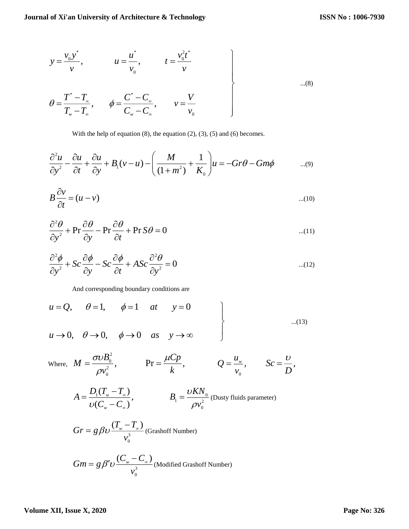$$
y = \frac{v_0 y^*}{v}, \qquad u = \frac{u^*}{v_0}, \qquad t = \frac{v_0^2 t^*}{v}
$$
  

$$
\theta = \frac{T^* - T_{\infty}}{T_w - T_{\infty}}, \qquad \phi = \frac{C^* - C_{\infty}}{C_w - C_{\infty}}, \qquad v = \frac{V}{v_0}
$$
...(8)

With the help of equation (8), the equation (2), (3), (5) and (6) becomes.

$$
\frac{\partial^2 u}{\partial y^2} - \frac{\partial u}{\partial t} + \frac{\partial u}{\partial y} + B_1(v - u) - \left(\frac{M}{(1 + m^2)} + \frac{1}{K_0}\right)u = -Gr\theta - Gm\phi \qquad \qquad ...(9)
$$

$$
B\frac{\partial v}{\partial t} = (u - v) \tag{10}
$$

$$
\frac{\partial^2 \theta}{\partial y^2} + \mathbf{Pr} \frac{\partial \theta}{\partial y} - \mathbf{Pr} \frac{\partial \theta}{\partial t} + \mathbf{Pr} S \theta = 0 \tag{11}
$$

$$
\frac{\partial^2 \phi}{\partial y^2} + Sc \frac{\partial \phi}{\partial y} - Sc \frac{\partial \phi}{\partial t} + ASc \frac{\partial^2 \theta}{\partial y^2} = 0
$$
...(12)

And corresponding boundary conditions are

$$
u = Q, \quad \theta = 1, \quad \phi = 1 \quad at \quad y = 0
$$
  

$$
u \rightarrow 0, \quad \theta \rightarrow 0, \quad \phi \rightarrow 0 \quad as \quad y \rightarrow \infty
$$
...(13)

Where, 2 0 2 0  $M = \frac{\sigma \nu B_0^2}{2},$ *v*  $\sigma\!\upsilon$  $\rho$  $=\frac{\sigma v B_0^2}{r^2}, \qquad \text{Pr}=\frac{\mu C p}{r^2},$ *k*  $=\frac{\mu}{\sqrt{2}}$ 0  $Q = \frac{u_w}{u}$ *v*  $=\frac{N_w}{N}$ ,  $Sc=\frac{S}{N}$ *D*  $=\frac{v}{v}$ 

$$
A = \frac{D_1(T_w - T_\infty)}{\nu (C_w - C_\infty)}, \qquad B_1 = \frac{\nu K N_0}{\rho v_0^2}
$$
 (Dusty fluids parameter)

$$
Gr = g \beta v \frac{(T_w - T_\infty)}{v_0^3}
$$
 (Grashoff Number)

$$
Gm = g\beta' \nu \frac{(C_{w} - C_{\infty})}{v_0^3}
$$
 (Modified Grashoff Number)

**Volume XII, Issue X, 2020**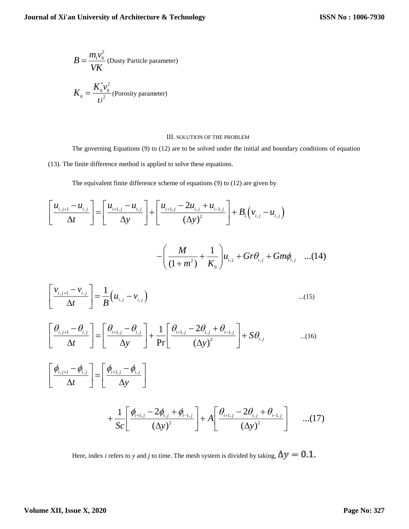$$
B = \frac{m_1 v_0^2}{VK}
$$
 (Dusty Particle parameter)  

$$
K_0^* v_0^2
$$

$$
K_0 = \frac{K_0^{\nu_0}}{\nu^2}
$$
 (Porosity parameter)

## III. SOLUTION OF THE PROBLEM

The governing Equations (9) to (12) are to be solved under the initial and boundary conditions of equation (13). The finite difference method is applied to solve these equations.

The equivalent finite difference scheme of equations (9) to (12) are given by

$$
\left[\frac{u_{i,j+1} - u_{i,j}}{\Delta t}\right] = \left[\frac{u_{i+1,j} - u_{i,j}}{\Delta y}\right] + \left[\frac{u_{i+1,j} - 2u_{i,j} + u_{i-1,j}}{(\Delta y)^2}\right] + B_1 \left(v_{i,j} - u_{i,j}\right)
$$

$$
-\left(\frac{M}{(1+m^2)} + \frac{1}{K_0}\right)u_{i,j} + Gr\theta_{i,j} + Gm\phi_{i,j} \quad ...(14)
$$

$$
\left[\frac{v_{i,j+1} - v_{i,j}}{\Delta t}\right] = \frac{1}{B}\left(u_{i,j} - v_{i,j}\right)
$$

$$
\left[\frac{\theta_{i,j+1} - \theta_{i,j}}{\Delta t}\right] = \left[\frac{\theta_{i+1,j} - \theta_{i,j}}{\Delta y}\right] + \frac{1}{\Pr}\left[\frac{\theta_{i+1,j} - 2\theta_{i,j} + \theta_{i-1,j}}{(\Delta y)^2}\right] + S\theta_{i,j} \tag{16}
$$

$$
\left[\frac{\phi_{i,j+1} - \phi_{i,j}}{\Delta t}\right] = \left[\frac{\phi_{i+1,j} - \phi_{i,j}}{\Delta y}\right]
$$

$$
+\frac{1}{Sc}\left[\frac{\phi_{i+1,j}-2\phi_{i,j}+\phi_{i-1,j}}{(\Delta y)^2}\right]+A\left[\frac{\theta_{i+1,j}-2\theta_{i,j}+\theta_{i-1,j}}{(\Delta y)^2}\right] \quad ...(17)
$$

Here, index *i* refers to *y* and *j* to time. The mesh system is divided by taking,  $\Delta y = 0.1$ .

# **Volume XII, Issue X, 2020**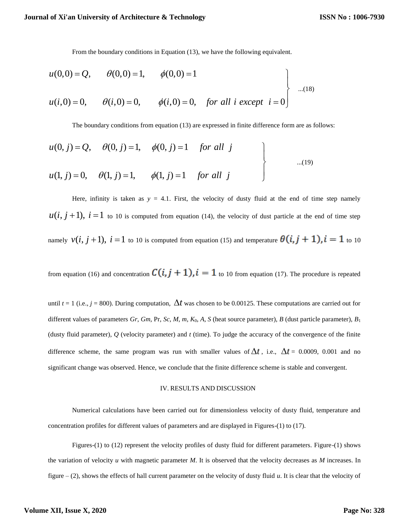From the boundary conditions in Equation (13), we have the following equivalent.

$$
u(0,0) = Q, \qquad \theta(0,0) = 1, \qquad \phi(0,0) = 1
$$
  

$$
u(i,0) = 0, \qquad \theta(i,0) = 0, \qquad \phi(i,0) = 0, \qquad \text{for all } i \text{ except } i = 0
$$
...(18)

The boundary conditions from equation (13) are expressed in finite difference form are as follows:

$$
u(0, j) = Q, \quad \theta(0, j) = 1, \quad \phi(0, j) = 1 \quad \text{for all } j
$$
  
 
$$
u(1, j) = 0, \quad \theta(1, j) = 1, \quad \phi(1, j) = 1 \quad \text{for all } j
$$
...(19)

Here, infinity is taken as  $y = 4.1$ . First, the velocity of dusty fluid at the end of time step namely  $u(i, j+1)$ ,  $i=1$  to 10 is computed from equation (14), the velocity of dust particle at the end of time step namely  $v(i, j+1)$ ,  $i = 1$  to 10 is computed from equation (15) and temperature  $\theta(i, j+1)$ ,  $i = 1$  to 10

from equation (16) and concentration  $\mathcal{C}(i, j + 1)$ ,  $i = 1$  to 10 from equation (17). The procedure is repeated

until  $t = 1$  (i.e.,  $j = 800$ ). During computation,  $\Delta t$  was chosen to be 0.00125. These computations are carried out for different values of parameters *Gr*, *Gm*, Pr, *Sc*, *M*, *m*, *K*0, *A*, *S* (heat source parameter), *B* (dust particle parameter), *B*<sup>1</sup> (dusty fluid parameter), *Q* (velocity parameter) and *t* (time). To judge the accuracy of the convergence of the finite difference scheme, the same program was run with smaller values of  $\Delta t$ , i.e.,  $\Delta t = 0.0009, 0.001$  and no significant change was observed. Hence, we conclude that the finite difference scheme is stable and convergent.

#### IV. RESULTS AND DISCUSSION

Numerical calculations have been carried out for dimensionless velocity of dusty fluid, temperature and concentration profiles for different values of parameters and are displayed in Figures-(1) to (17).

Figures-(1) to (12) represent the velocity profiles of dusty fluid for different parameters. Figure-(1) shows the variation of velocity *u* with magnetic parameter *M*. It is observed that the velocity decreases as *M* increases. In figure – (2), shows the effects of hall current parameter on the velocity of dusty fluid *u*. It is clear that the velocity of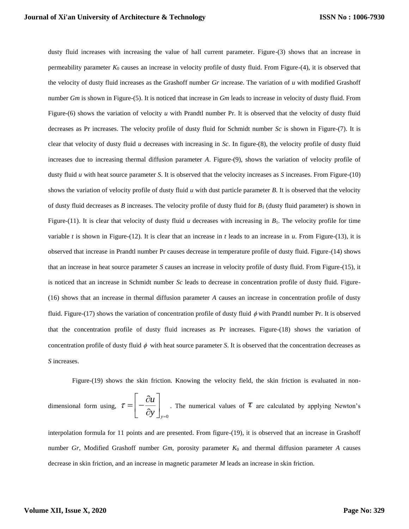dusty fluid increases with increasing the value of hall current parameter. Figure-(3) shows that an increase in permeability parameter *K*<sup>0</sup> causes an increase in velocity profile of dusty fluid. From Figure-(4), it is observed that the velocity of dusty fluid increases as the Grashoff number *Gr* increase. The variation of *u* with modified Grashoff number *Gm* is shown in Figure-(5). It is noticed that increase in *Gm* leads to increase in velocity of dusty fluid. From Figure-(6) shows the variation of velocity *u* with Prandtl number Pr. It is observed that the velocity of dusty fluid decreases as Pr increases. The velocity profile of dusty fluid for Schmidt number *Sc* is shown in Figure-(7). It is clear that velocity of dusty fluid *u* decreases with increasing in *Sc*. In figure-(8), the velocity profile of dusty fluid increases due to increasing thermal diffusion parameter *A*. Figure-(9), shows the variation of velocity profile of dusty fluid *u* with heat source parameter *S*. It is observed that the velocity increases as *S* increases. From Figure-(10) shows the variation of velocity profile of dusty fluid *u* with dust particle parameter *B*. It is observed that the velocity of dusty fluid decreases as *B* increases. The velocity profile of dusty fluid for  $B_1$  (dusty fluid parameter) is shown in Figure-(11). It is clear that velocity of dusty fluid *u* decreases with increasing in  $B_1$ . The velocity profile for time variable *t* is shown in Figure-(12). It is clear that an increase in *t* leads to an increase in *u*. From Figure-(13), it is observed that increase in Prandtl number Pr causes decrease in temperature profile of dusty fluid. Figure-(14) shows that an increase in heat source parameter *S* causes an increase in velocity profile of dusty fluid. From Figure-(15), it is noticed that an increase in Schmidt number *Sc* leads to decrease in concentration profile of dusty fluid. Figure- (16) shows that an increase in thermal diffusion parameter *A* causes an increase in concentration profile of dusty fluid. Figure-(17) shows the variation of concentration profile of dusty fluid  $\phi$  with Prandtl number Pr. It is observed that the concentration profile of dusty fluid increases as Pr increases. Figure-(18) shows the variation of concentration profile of dusty fluid  $\phi$  with heat source parameter *S*. It is observed that the concentration decreases as *S* increases.

Figure-(19) shows the skin friction. Knowing the velocity field, the skin friction is evaluated in non-

dimensional form using, 
$$
\tau = \left[ -\frac{\partial u}{\partial y} \right]_{y=0}
$$
. The numerical values of **T** are calculated by applying Newton's

interpolation formula for 11 points and are presented. From figure-(19), it is observed that an increase in Grashoff number *Gr*, Modified Grashoff number *Gm,* porosity parameter *K*<sup>0</sup> and thermal diffusion parameter *A* causes decrease in skin friction, and an increase in magnetic parameter *M* leads an increase in skin friction.

## **Volume XII, Issue X, 2020**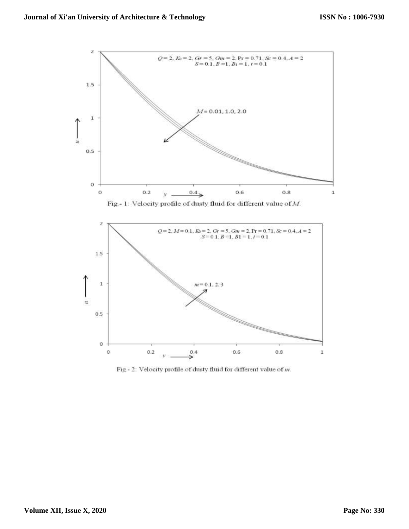

Fig. - 2: Velocity profile of dusty fluid for different value of m.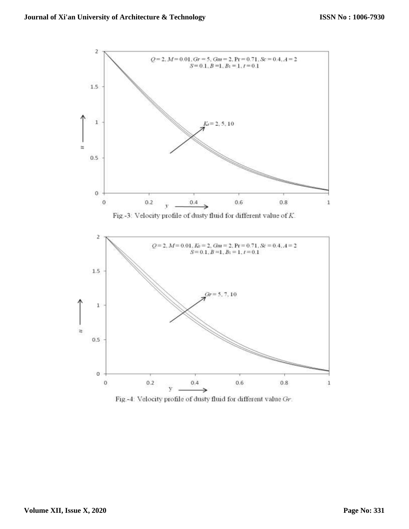

Fig.-4: Velocity profile of dusty fluid for different value Gr.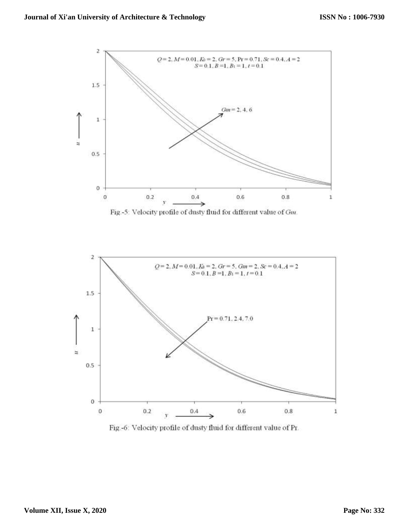

Fig.-6: Velocity profile of dusty fluid for different value of Pr.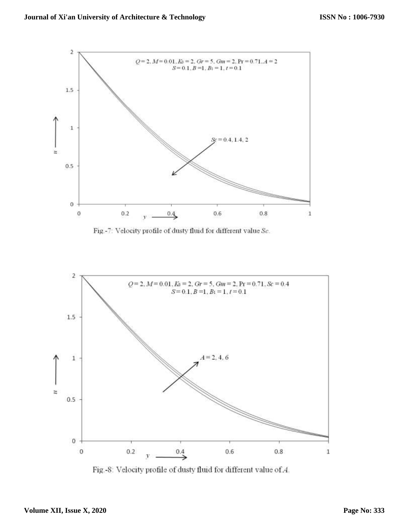

Fig. -7: Velocity profile of dusty fluid for different value Sc.



Fig.-8: Velocity profile of dusty fluid for different value of A.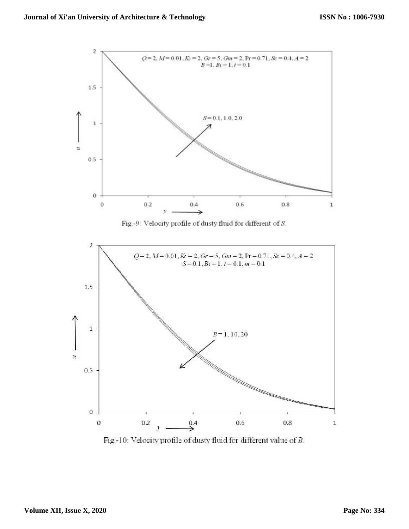

Fig.-10: Velocity profile of dusty fluid for different value of B.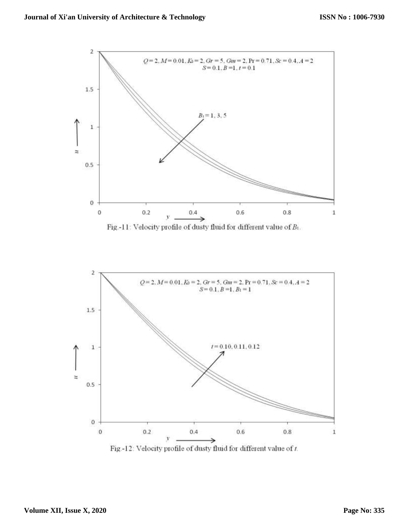



Fig.-12: Velocity profile of dusty fluid for different value of t.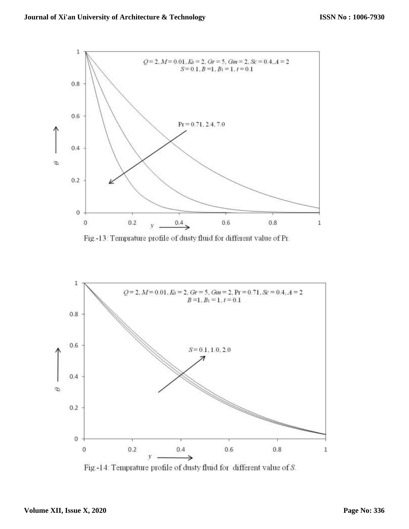





Fig.-14: Temprature profile of dusty fluid for different value of S.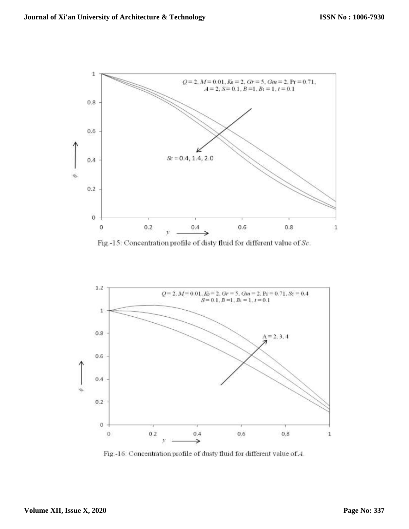





Fig. -16: Concentration profile of dusty fluid for different value of A.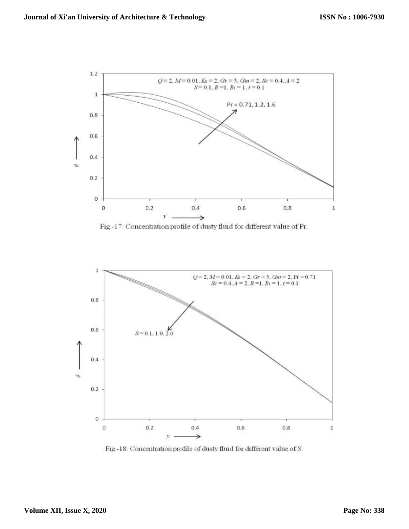

Fig.-17: Concentration profile of dusty fluid for different value of Pr.



Fig.-18: Concentration profile of dusty fluid for different value of S.